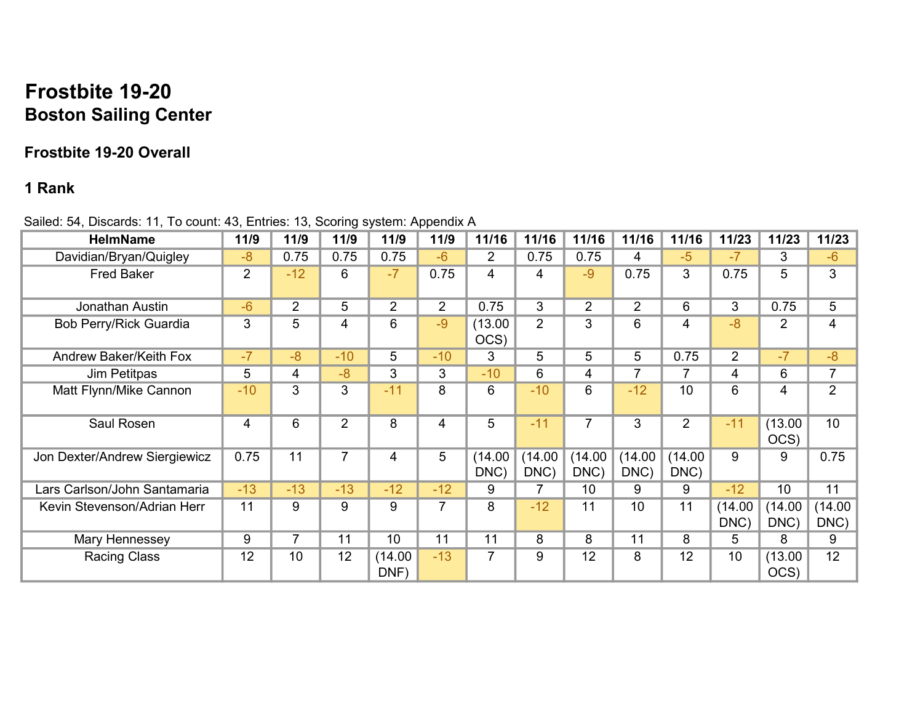## Frostbite 19-20 Boston Sailing Center

## Frostbite 19-20 Overall

## 1 Rank

| <b>HelmName</b>               | 11/9           | 11/9           | 11/9           | 11/9           | 11/9           | 11/16           | 11/16          | 11/16           | 11/16           | 11/16           | 11/23           | 11/23           | 11/23           |
|-------------------------------|----------------|----------------|----------------|----------------|----------------|-----------------|----------------|-----------------|-----------------|-----------------|-----------------|-----------------|-----------------|
| Davidian/Bryan/Quigley        | $-8$           | 0.75           | 0.75           | 0.75           | $-6$           | $\overline{2}$  | 0.75           | 0.75            | 4               | $-5$            | $-7$            | 3               | $-6$            |
| <b>Fred Baker</b>             | $\overline{2}$ | $-12$          | 6              | $-7$           | 0.75           | 4               | 4              | $-9$            | 0.75            | 3               | 0.75            | 5               | 3               |
| Jonathan Austin               | $-6$           | $\overline{2}$ | 5              | $\overline{2}$ | $\overline{2}$ | 0.75            | 3              | $\overline{2}$  | $\overline{2}$  | 6               | 3               | 0.75            | 5               |
| Bob Perry/Rick Guardia        | 3              | 5              | 4              | 6              | $-9$           | (13.00)<br>OCS) | $\overline{2}$ | 3               | 6               | 4               | $-8$            | $\overline{2}$  | 4               |
| <b>Andrew Baker/Keith Fox</b> | $-7$           | $-8$           | $-10$          | 5              | $-10$          | 3               | 5              | 5               | 5               | 0.75            | $\overline{2}$  | $-7$            | $-8$            |
| Jim Petitpas                  | 5              | 4              | $-8$           | 3              | 3              | $-10$           | 6              | 4               | 7               | 7               | 4               | 6               | 7               |
| Matt Flynn/Mike Cannon        | $-10$          | 3              | 3              | $-11$          | 8              | 6               | $-10$          | 6               | $-12$           | 10              | 6               | 4               | $\overline{2}$  |
| Saul Rosen                    | 4              | 6              | $\overline{2}$ | 8              | $\overline{4}$ | 5               | $-11$          | $\overline{7}$  | 3               | $\overline{2}$  | $-11$           | (13.00)<br>OCS) | 10              |
| Jon Dexter/Andrew Siergiewicz | 0.75           | 11             | $\overline{7}$ | 4              | 5              | (14.00)<br>DNC) | (14.00<br>DNC) | (14.00)<br>DNC) | (14.00)<br>DNC) | (14.00)<br>DNC) | 9               | 9               | 0.75            |
| Lars Carlson/John Santamaria  | $-13$          | $-13$          | $-13$          | $-12$          | $-12$          | 9               |                | 10              | 9               | 9               | $-12$           | 10              | 11              |
| Kevin Stevenson/Adrian Herr   | 11             | 9              | 9              | 9              | $\overline{7}$ | 8               | $-12$          | 11              | 10              | 11              | (14.00)<br>DNC) | (14.00)<br>DNC) | (14.00)<br>DNC) |
| Mary Hennessey                | 9              | $\overline{7}$ | 11             | 10             | 11             | 11              | 8              | 8               | 11              | 8               | 5               | 8               | 9               |
| <b>Racing Class</b>           | 12             | 10             | 12             | (14.00<br>DNF) | $-13$          | 7               | 9              | 12              | 8               | 12              | 10              | (13.00)<br>OCS) | 12              |

Sailed: 54, Discards: 11, To count: 43, Entries: 13, Scoring system: Appendix A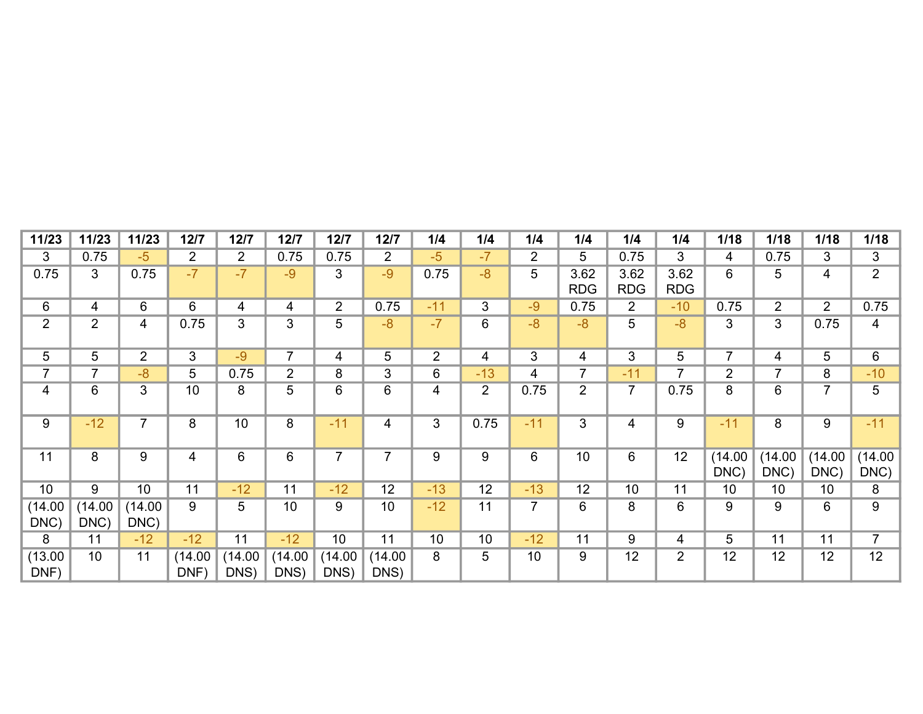| 11/23           | 11/23           | 11/23           | 12/7            | 12/7            | 12/7            | $12/7$          | 12/7            | 1/4            | 1/4             | 1/4            | 1/4                | 1/4                | 1/4                | 1/18            | 1/18            | 1/18            | 1/18            |
|-----------------|-----------------|-----------------|-----------------|-----------------|-----------------|-----------------|-----------------|----------------|-----------------|----------------|--------------------|--------------------|--------------------|-----------------|-----------------|-----------------|-----------------|
| 3               | 0.75            | $-5$            | $\overline{2}$  | $\overline{2}$  | 0.75            | 0.75            | $\overline{2}$  | $-5$           | $-7$            | $\overline{2}$ | 5                  | 0.75               | 3                  | 4               | 0.75            | 3               | 3               |
| 0.75            | 3               | 0.75            | $-7$            | $-7$            | $-9$            | 3               | $-9$            | 0.75           | $-8$            | 5              | 3.62<br><b>RDG</b> | 3.62<br><b>RDG</b> | 3.62<br><b>RDG</b> | 6               | 5               | 4               | $\overline{2}$  |
| 6               | 4               | 6               | 6               | 4               | 4               | $\overline{2}$  | 0.75            | $-11$          | 3               | $-9$           | 0.75               | $\overline{2}$     | $-10$              | 0.75            | $\overline{2}$  | $\overline{2}$  | 0.75            |
| $\overline{2}$  | $\overline{2}$  | 4               | 0.75            | 3               | 3               | 5               | $-8$            | $-7$           | 6               | $-8$           | $-8$               | 5                  | $-8$               | 3               | 3 <sup>1</sup>  | 0.75            | $\overline{4}$  |
| 5               | 5               | $\overline{2}$  | 3               | $-9$            | $\overline{7}$  | 4               | 5               | $\overline{2}$ | 4               | 3              | 4                  | 3                  | 5                  | $\overline{7}$  | 4               | 5               | 6               |
| 7               | $\overline{7}$  | $-8$            | 5               | 0.75            | $\overline{2}$  | 8               | 3               | 6              | $-13$           | 4              | 7                  | $-11$              | 7                  | $\overline{2}$  | 7               | 8               | $-10$           |
| 4               | 6               | 3               | 10              | 8               | 5               | 6               | 6               | 4              | $\overline{2}$  | 0.75           | $\overline{2}$     | 7                  | 0.75               | 8               | 6               | $\overline{7}$  | 5               |
| 9               | $-12$           | $\overline{7}$  | 8               | 10              | 8               | $-11$           | 4               | 3              | 0.75            | $-11$          | 3                  | 4                  | 9                  | $-11$           | 8               | 9               | $-11$           |
| 11              | 8               | 9               | 4               | $6\phantom{1}$  | 6               | 7               | 7               | 9              | 9               | 6              | 10                 | 6                  | 12                 | (14.00)<br>DNC) | (14.00)<br>DNC) | (14.00)<br>DNC) | (14.00)<br>DNC) |
| 10              | 9               | 10              | 11              | $-12$           | 11              | $-12$           | 12              | $-13$          | 12              | $-13$          | 12                 | 10                 | 11                 | 10              | 10              | 10              | 8               |
| (14.00)<br>DNC) | (14.00)<br>DNC) | (14.00)<br>DNC) | 9               | 5               | 10              | 9               | 10              | $-12$          | 11              | $\overline{7}$ | 6                  | 8                  | 6                  | 9               | 9               | 6               | 9               |
| 8               | 11              | $-12$           | $-12$           | 11              | $-12$           | 10              | 11              | 10             | 10 <sup>°</sup> | $-12$          | 11                 | 9                  | 4                  | 5               | 11              | 11              | $\overline{7}$  |
| (13.00)<br>DNF) | 10              | 11              | (14.00)<br>DNF) | (14.00)<br>DNS) | (14.00)<br>DNS) | (14.00)<br>DNS) | (14.00)<br>DNS) | 8              | 5               | 10             | 9                  | 12                 | $\overline{2}$     | 12              | 12              | 12              | 12              |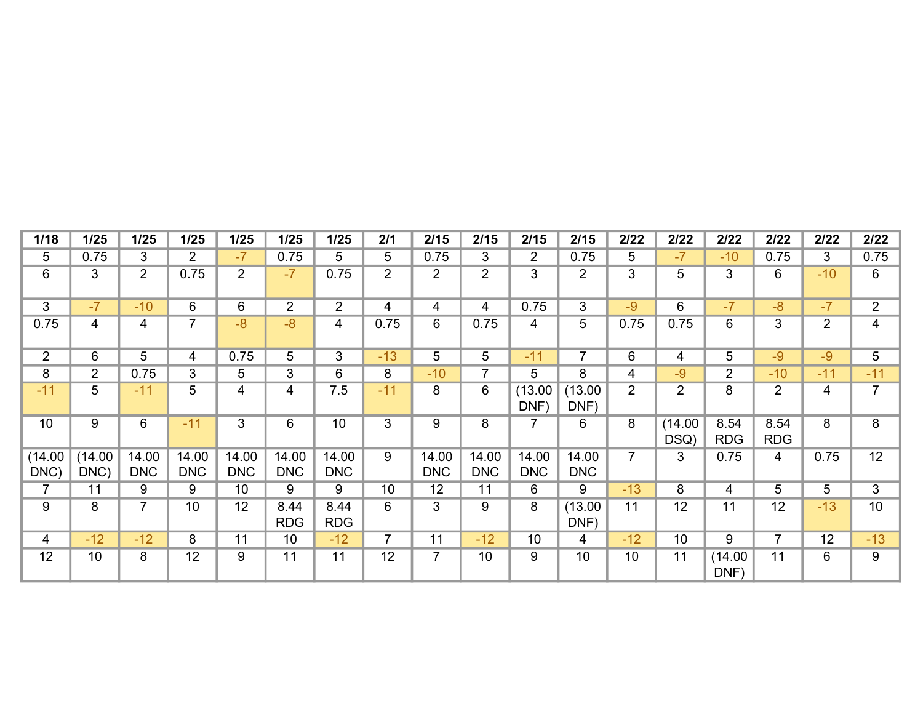| 1/18            | 1/25            | 1/25                | 1/25                | 1/25                | $1/25$              | 1/25                | 2/1            | 2/15                | 2/15                | 2/15                | 2/15                | 2/22           | 2/22            | 2/22               | 2/22               | 2/22           | 2/22            |
|-----------------|-----------------|---------------------|---------------------|---------------------|---------------------|---------------------|----------------|---------------------|---------------------|---------------------|---------------------|----------------|-----------------|--------------------|--------------------|----------------|-----------------|
| 5               | 0.75            | 3                   | $\overline{2}$      | $-7$                | 0.75                | 5                   | 5              | 0.75                | 3                   | $\overline{2}$      | 0.75                | 5              | $-7$            | $-10$              | 0.75               | 3              | 0.75            |
| 6               | 3               | $\overline{2}$      | 0.75                | $\overline{2}$      | $-7$                | 0.75                | 2              | $\overline{2}$      | $\overline{2}$      | 3                   | $\overline{2}$      | 3              | 5               | 3                  | 6                  | $-10$          | 6               |
| 3               | $-7$            | $-10$               | 6                   | $6\phantom{1}$      | $\overline{2}$      | $\overline{2}$      | 4              | 4                   | $\overline{4}$      | 0.75                | 3                   | $-9$           | 6               | $-7$               | $-8$               | $-7$           | $\overline{2}$  |
| 0.75            | $\overline{4}$  | 4                   | $\overline{7}$      | $-8$                | $-8$                | 4                   | 0.75           | 6                   | 0.75                | 4                   | 5                   | 0.75           | 0.75            | 6                  | 3                  | $\overline{2}$ | 4               |
| $\overline{2}$  | 6               | 5                   | 4                   | 0.75                | 5                   | 3                   | $-13$          | 5                   | 5                   | $-11$               | $\overline{7}$      | 6              | 4               | 5                  | $-9$               | $-9$           | $5\overline{)}$ |
| 8               | $\overline{2}$  | 0.75                | 3                   | 5                   | 3                   | 6                   | 8              | $-10$               | $\overline{7}$      | 5                   | 8                   | 4              | $-9$            | $\overline{2}$     | $-10$              | $-11$          | $-11$           |
| $-11$           | 5               | $-11$               | 5                   | 4                   | $\overline{4}$      | 7.5                 | $-11$          | 8                   | 6                   | (13.00)<br>DNF)     | (13.00)<br>DNF)     | $\overline{2}$ | $\overline{2}$  | 8                  | $\overline{2}$     | 4              | $\overline{7}$  |
| 10              | 9               | 6                   | $-11$               | $\mathbf{3}$        | 6                   | 10                  | $\mathbf{3}$   | 9                   | 8                   | $\overline{7}$      | 6                   | 8              | (14.00)<br>DSQ) | 8.54<br><b>RDG</b> | 8.54<br><b>RDG</b> | 8              | 8               |
| (14.00)<br>DNC) | (14.00)<br>DNC) | 14.00<br><b>DNC</b> | 14.00<br><b>DNC</b> | 14.00<br><b>DNC</b> | 14.00<br><b>DNC</b> | 14.00<br><b>DNC</b> | 9              | 14.00<br><b>DNC</b> | 14.00<br><b>DNC</b> | 14.00<br><b>DNC</b> | 14.00<br><b>DNC</b> | $\overline{7}$ | 3               | 0.75               | 4                  | 0.75           | 12              |
| 7               | 11              | 9                   | 9                   | 10 <sup>°</sup>     | 9                   | 9                   | 10             | 12                  | 11                  | 6                   | 9                   | $-13$          | 8               | 4                  | 5                  | 5              | $\mathbf{3}$    |
| 9               | 8               | $\overline{7}$      | 10                  | 12                  | 8.44<br><b>RDG</b>  | 8.44<br><b>RDG</b>  | 6              | 3                   | 9                   | 8                   | (13.00)<br>DNF)     | 11             | 12              | 11                 | 12                 | $-13$          | 10              |
| 4               | $-12$           | $-12$               | 8                   | 11                  | 10                  | $-12$               | $\overline{7}$ | 11                  | $-12$               | 10                  | 4                   | $-12$          | 10              | 9                  | $\overline{7}$     | 12             | $-13$           |
| 12              | 10              | 8                   | 12                  | 9                   | 11                  | 11                  | 12             | $\overline{7}$      | 10                  | 9                   | 10                  | 10             | 11              | (14.00)<br>DNF)    | 11                 | 6              | 9               |